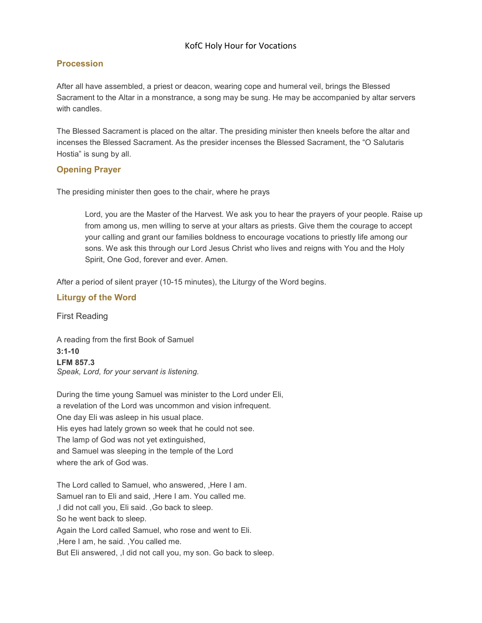# KofC Holy Hour for Vocations

## Procession

After all have assembled, a priest or deacon, wearing cope and humeral veil, brings the Blessed Sacrament to the Altar in a monstrance, a song may be sung. He may be accompanied by altar servers with candles.

The Blessed Sacrament is placed on the altar. The presiding minister then kneels before the altar and incenses the Blessed Sacrament. As the presider incenses the Blessed Sacrament, the "O Salutaris Hostia" is sung by all.

### Opening Prayer

The presiding minister then goes to the chair, where he prays

Lord, you are the Master of the Harvest. We ask you to hear the prayers of your people. Raise up from among us, men willing to serve at your altars as priests. Give them the courage to accept your calling and grant our families boldness to encourage vocations to priestly life among our sons. We ask this through our Lord Jesus Christ who lives and reigns with You and the Holy Spirit, One God, forever and ever. Amen.

After a period of silent prayer (10-15 minutes), the Liturgy of the Word begins.

### Liturgy of the Word

First Reading

A reading from the first Book of Samuel 3:1-10 LFM 857.3 Speak, Lord, for your servant is listening.

During the time young Samuel was minister to the Lord under Eli, a revelation of the Lord was uncommon and vision infrequent. One day Eli was asleep in his usual place. His eyes had lately grown so week that he could not see. The lamp of God was not yet extinguished, and Samuel was sleeping in the temple of the Lord where the ark of God was.

The Lord called to Samuel, who answered, ,Here I am. Samuel ran to Eli and said, ,Here I am. You called me. ,I did not call you, Eli said. ,Go back to sleep. So he went back to sleep. Again the Lord called Samuel, who rose and went to Eli. ,Here I am, he said. ,You called me. But Eli answered, ,I did not call you, my son. Go back to sleep.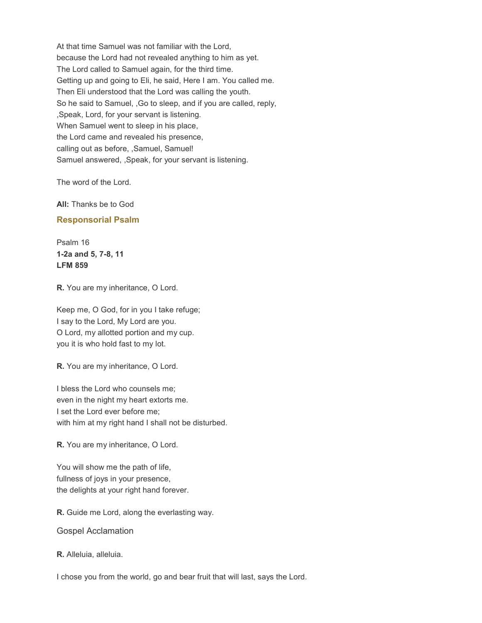At that time Samuel was not familiar with the Lord, because the Lord had not revealed anything to him as yet. The Lord called to Samuel again, for the third time. Getting up and going to Eli, he said, Here I am. You called me. Then Eli understood that the Lord was calling the youth. So he said to Samuel, ,Go to sleep, and if you are called, reply, ,Speak, Lord, for your servant is listening. When Samuel went to sleep in his place, the Lord came and revealed his presence, calling out as before, ,Samuel, Samuel! Samuel answered, ,Speak, for your servant is listening.

The word of the Lord.

All: Thanks be to God

#### Responsorial Psalm

Psalm 16 1-2a and 5, 7-8, 11 LFM 859

R. You are my inheritance, O Lord.

Keep me, O God, for in you I take refuge; I say to the Lord, My Lord are you. O Lord, my allotted portion and my cup. you it is who hold fast to my lot.

R. You are my inheritance, O Lord.

I bless the Lord who counsels me; even in the night my heart extorts me. I set the Lord ever before me; with him at my right hand I shall not be disturbed.

R. You are my inheritance, O Lord.

You will show me the path of life, fullness of joys in your presence, the delights at your right hand forever.

R. Guide me Lord, along the everlasting way.

Gospel Acclamation

R. Alleluia, alleluia.

I chose you from the world, go and bear fruit that will last, says the Lord.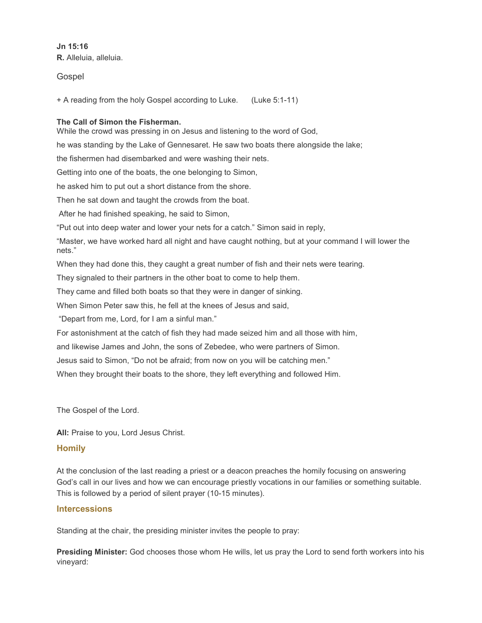Jn 15:16 R. Alleluia, alleluia.

Gospel

+ A reading from the holy Gospel according to Luke. (Luke 5:1-11)

#### The Call of Simon the Fisherman.

While the crowd was pressing in on Jesus and listening to the word of God,

he was standing by the Lake of Gennesaret. He saw two boats there alongside the lake;

the fishermen had disembarked and were washing their nets.

Getting into one of the boats, the one belonging to Simon,

he asked him to put out a short distance from the shore.

Then he sat down and taught the crowds from the boat.

After he had finished speaking, he said to Simon,

"Put out into deep water and lower your nets for a catch." Simon said in reply,

"Master, we have worked hard all night and have caught nothing, but at your command I will lower the nets."

When they had done this, they caught a great number of fish and their nets were tearing.

They signaled to their partners in the other boat to come to help them.

They came and filled both boats so that they were in danger of sinking.

When Simon Peter saw this, he fell at the knees of Jesus and said,

"Depart from me, Lord, for I am a sinful man."

For astonishment at the catch of fish they had made seized him and all those with him,

and likewise James and John, the sons of Zebedee, who were partners of Simon.

Jesus said to Simon, "Do not be afraid; from now on you will be catching men."

When they brought their boats to the shore, they left everything and followed Him.

The Gospel of the Lord.

All: Praise to you, Lord Jesus Christ.

### **Homily**

At the conclusion of the last reading a priest or a deacon preaches the homily focusing on answering God's call in our lives and how we can encourage priestly vocations in our families or something suitable. This is followed by a period of silent prayer (10-15 minutes).

### **Intercessions**

Standing at the chair, the presiding minister invites the people to pray:

Presiding Minister: God chooses those whom He wills, let us pray the Lord to send forth workers into his vineyard: